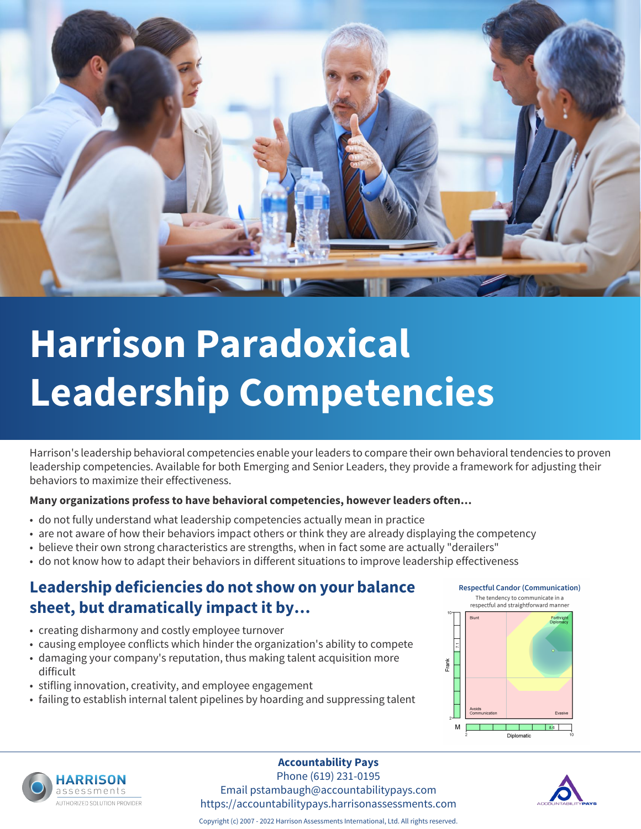

# **Harrison Paradoxical Leadership Competencies**

Harrison's leadership behavioral competencies enable your leaders to compare their own behavioral tendencies to proven leadership competencies. Available for both Emerging and Senior Leaders, they provide a framework for adjusting their behaviors to maximize their effectiveness.

### **Many organizations profess to have behavioral competencies, however leaders often…**

- do not fully understand what leadership competencies actually mean in practice
- are not aware of how their behaviors impact others or think they are already displaying the competency
- believe their own strong characteristics are strengths, when in fact some are actually "derailers"
- do not know how to adapt their behaviors in different situations to improve leadership effectiveness

# **Leadership deficiencies do not show on your balance sheet, but dramatically impact it by…**

- creating disharmony and costly employee turnover
- causing employee conflicts which hinder the organization's ability to compete
- damaging your company's reputation, thus making talent acquisition more difficult
- stifling innovation, creativity, and employee engagement
- failing to establish internal talent pipelines by hoarding and suppressing talent







#### **Accountability Pays**

Phone (619) 231-0195 Email pstambaugh@accountabilitypays.com https://accountabilitypays.harrisonassessments.com